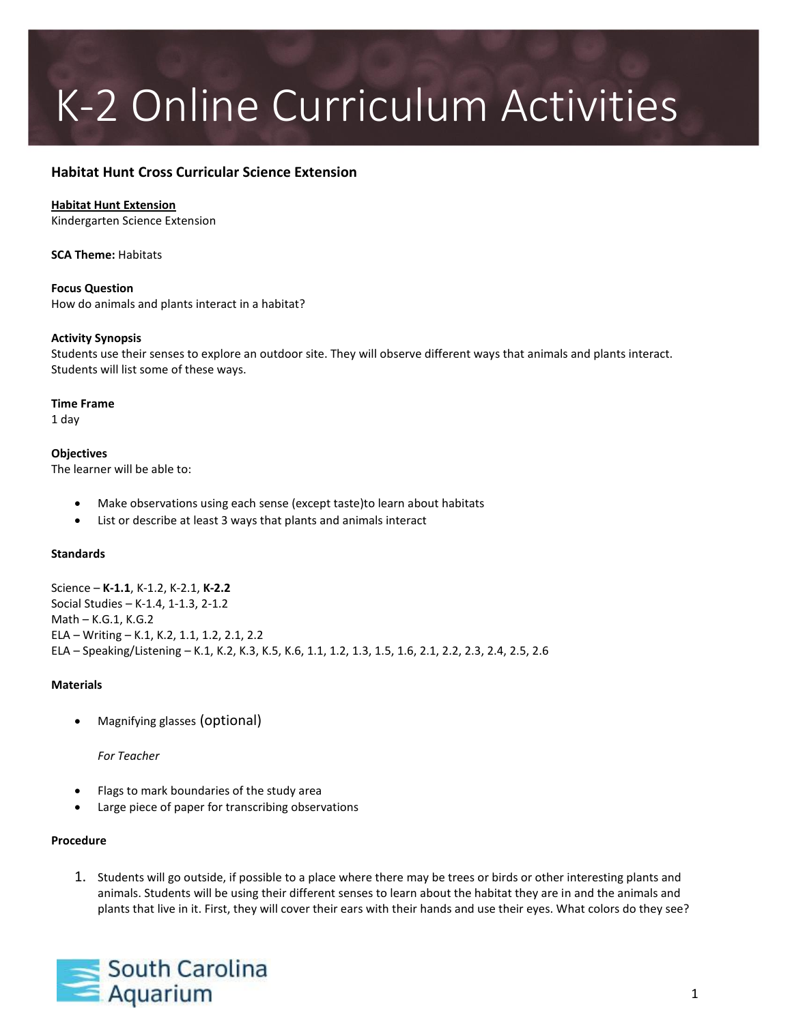# K-2 Online Curriculum Activities

# **Habitat Hunt Cross Curricular Science Extension**

# **Habitat Hunt Extension**

Kindergarten Science Extension

**SCA Theme:** Habitats

**Focus Question** How do animals and plants interact in a habitat?

# **Activity Synopsis**

Students use their senses to explore an outdoor site. They will observe different ways that animals and plants interact. Students will list some of these ways.

#### **Time Frame**

1 day

#### **Objectives** The learner will be able to:

- Make observations using each sense (except taste)to learn about habitats
- List or describe at least 3 ways that plants and animals interact

# **Standards**

Science – **K-1.1**, K-1.2, K-2.1, **K-2.2** Social Studies – K-1.4, 1-1.3, 2-1.2 Math – K.G.1, K.G.2 ELA – Writing – K.1, K.2, 1.1, 1.2, 2.1, 2.2 ELA – Speaking/Listening – K.1, K.2, K.3, K.5, K.6, 1.1, 1.2, 1.3, 1.5, 1.6, 2.1, 2.2, 2.3, 2.4, 2.5, 2.6

# **Materials**

Magnifying glasses (optional)

# *For Teacher*

- Flags to mark boundaries of the study area
- Large piece of paper for transcribing observations

# **Procedure**

1. Students will go outside, if possible to a place where there may be trees or birds or other interesting plants and animals. Students will be using their different senses to learn about the habitat they are in and the animals and plants that live in it. First, they will cover their ears with their hands and use their eyes. What colors do they see?